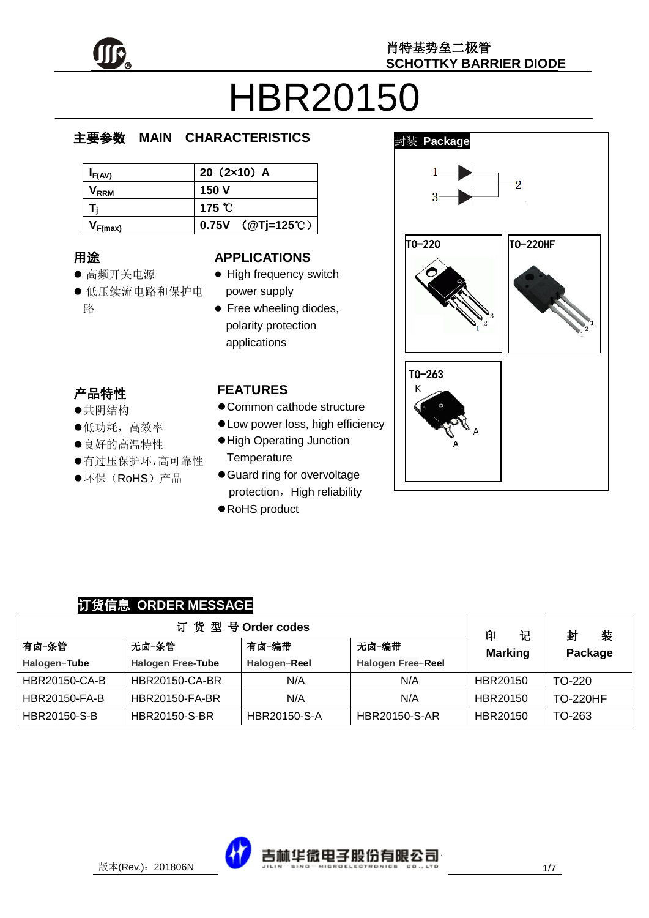

# HBR20150

#### e  $\overline{\phantom{a}}$ 主要参数 **MAIN CHARACTERISTICS**

| $I_{F(AV)}$      | $20(2x10)$ A               |
|------------------|----------------------------|
| V <sub>rrm</sub> | 150 V                      |
|                  | 175 $\degree$ C            |
| F(max)           | 0.75V $(QTj=125^{\circ}C)$ |

### 用途

- ……<br>● 高频开关电源
- יי<br>ל 低压续流电路和保护电 r. 路

#### **APPLICATIONS**

- High frequency switch power supply
- Free wheeling diodes, polarity protection applications

#### 产品特性

- , H-IVI工<br>●共阴结构
- 大切地市<br>●低功耗,高效率
- ●良好的高温特性
- 有过压保护环,高可靠性
- $\hat{\cdot}$  $\overline{a}$ ●环保(RoHS)产品

#### **FEATURES**

- Common cathode structure
- Low power loss, high efficiency
- High Operating Junction **Temperature**
- Guard ring for overvoltage protection, High reliability
- RoHS product



#### 订货信息 **ORDER MESSAGE**

| 订货型号Order codes      |                          |                |                      |                          | 封<br>装          |
|----------------------|--------------------------|----------------|----------------------|--------------------------|-----------------|
| 有卤−条管                | 无卤-条管                    | 无卤-编带<br>有卤−编带 |                      | 印<br>记<br><b>Marking</b> | Package         |
| Halogen-Tube         | <b>Halogen Free-Tube</b> | Halogen-Reel   | Halogen Free-Reel    |                          |                 |
| <b>HBR20150-CA-B</b> | <b>HBR20150-CA-BR</b>    | N/A            | N/A                  | HBR20150                 | TO-220          |
| <b>HBR20150-FA-B</b> | <b>HBR20150-FA-BR</b>    | N/A            | N/A                  | HBR20150                 | <b>TO-220HF</b> |
| HBR20150-S-B         | <b>HBR20150-S-BR</b>     | HBR20150-S-A   | <b>HBR20150-S-AR</b> | HBR20150                 | TO-263          |

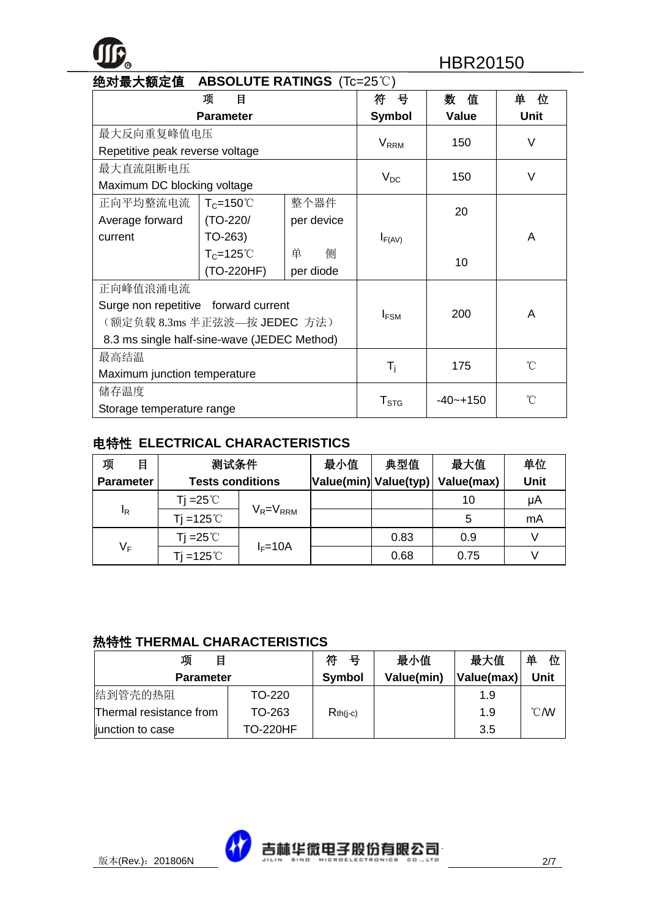### **<sup>R</sup>** HBR20150

| 绝对最大额定值<br><b>ABSOLUTE RATINGS (Tc=25°C)</b> |                     |            |                           |              |             |
|----------------------------------------------|---------------------|------------|---------------------------|--------------|-------------|
|                                              | 项<br>目              |            | 뮹<br>符                    | 数<br>值       | 单<br>位      |
|                                              | <b>Parameter</b>    |            | <b>Symbol</b>             | <b>Value</b> | <b>Unit</b> |
| 最大反向重复峰值电压                                   |                     |            |                           | 150          | $\vee$      |
| Repetitive peak reverse voltage              |                     |            | <b>V</b> <sub>RRM</sub>   |              |             |
| 最大直流阻断电压                                     |                     |            |                           | 150          | V           |
| Maximum DC blocking voltage                  |                     |            | $V_{DC}$                  |              |             |
| 正向平均整流电流                                     | $T_c = 150^{\circ}$ | 整个器件       |                           | 20           |             |
| Average forward                              | (TO-220/            | per device |                           |              |             |
| current                                      | $TO-263)$           |            | $I_{F(AV)}$               |              | A           |
|                                              | $T_c = 125^{\circ}$ | 单<br>侧     |                           | 10           |             |
|                                              | (TO-220HF)          | per diode  |                           |              |             |
| 正向峰值浪涌电流                                     |                     |            |                           |              |             |
| Surge non repetitive forward current         |                     |            |                           | 200          | A           |
| (额定负载 8.3ms 半正弦波—按 JEDEC 方法)                 |                     |            | $I_{FSM}$                 |              |             |
| 8.3 ms single half-sine-wave (JEDEC Method)  |                     |            |                           |              |             |
| 最高结温                                         |                     |            |                           |              | °C          |
| Maximum junction temperature                 |                     |            | $\mathsf{T}_{\mathsf{i}}$ | 175          |             |
| 储存温度                                         |                     |            |                           | $-40 - +150$ | °C          |
| Storage temperature range                    |                     |            | $T_{STG}$                 |              |             |

#### 电特性 **ELECTRICAL CHARACTERISTICS**

| 项<br>目           | 测试条件                    |                 | 最小值 | 典型值                   | 最大值        | 单位   |
|------------------|-------------------------|-----------------|-----|-----------------------|------------|------|
| <b>Parameter</b> | <b>Tests conditions</b> |                 |     | Value(min) Value(typ) | Value(max) | Unit |
|                  | Tj =25℃                 |                 |     |                       | 10         | μA   |
| ΙŖ               | $Ti = 125^{\circ}$      | $V_R = V_{RRM}$ |     |                       | 5          | mA   |
|                  | Ti =25 $\degree$ C      | $I_F = 10A$     |     | 0.83                  | 0.9        |      |
| $V_F$            | Ti =125 $°C$            |                 |     | 0.68                  | 0.75       |      |

#### 热特性 **THERMAL CHARACTERISTICS**

| 项<br>目                  |                 | 符<br>号        | 最小值        | 最大值        | 单<br>位         |
|-------------------------|-----------------|---------------|------------|------------|----------------|
| <b>Parameter</b>        |                 | <b>Symbol</b> | Value(min) | Value(max) | Unit           |
| 结到管壳的热阻                 | TO-220          |               |            | 1.9        |                |
| Thermal resistance from | TO-263          | $Rth(i-c)$    |            | 1.9        | $^{\circ}$ CMV |
| junction to case        | <b>TO-220HF</b> |               |            | 3.5        |                |

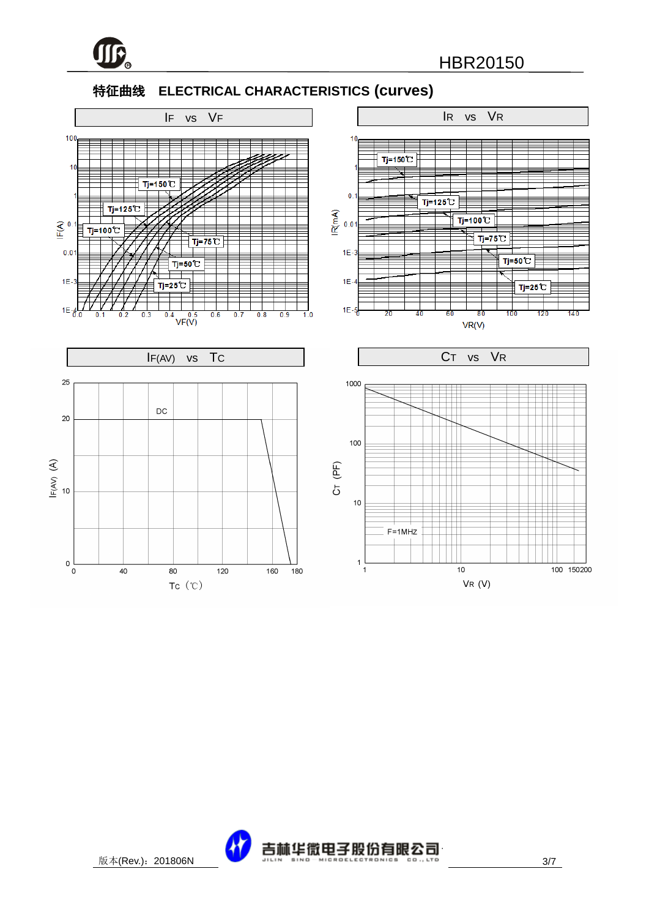

#### 特征曲线 **ELECTRICAL CHARACTERISTICS (curves)**



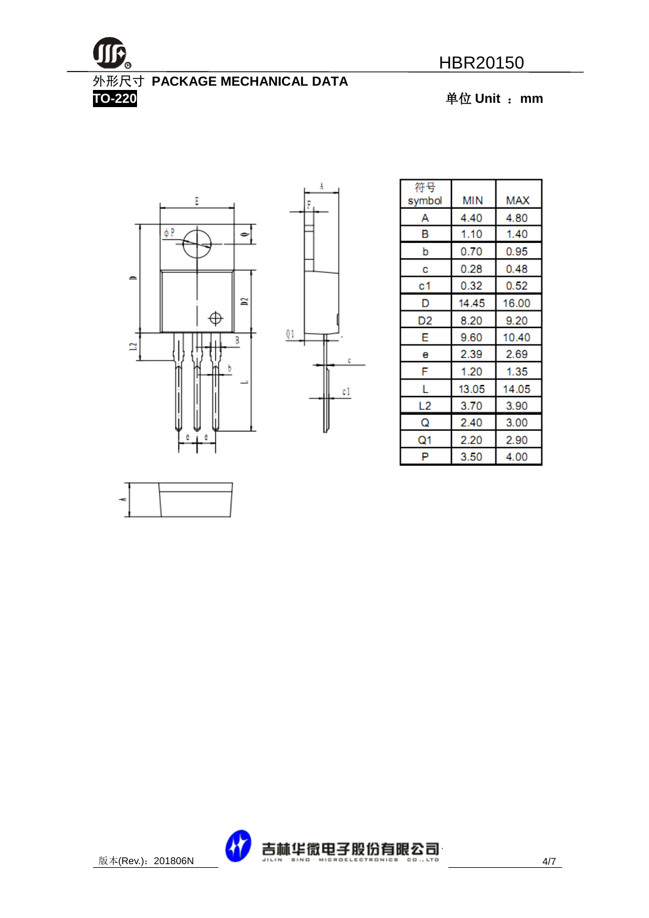

## 外形尺寸 **PACKAGE MECHANICAL DATA**

**TO-220** 单位 **Unit** :**mm**





Ă

| 符号<br>symbol | ΜIΝ   | MAX   |
|--------------|-------|-------|
| А            | 4.40  | 4.80  |
| В            | 1.10  | 1.40  |
| b            | 0.70  | 0.95  |
| С            | 0.28  | 0.48  |
| с1           | 0.32  | 0.52  |
| D            | 14.45 | 16.00 |
| D2           | 8.20  | 9.20  |
| Е            | 9.60  | 10.40 |
| е            | 2.39  | 2.69  |
| F            | 1.20  | 1.35  |
| L            | 13.05 | 14.05 |
| L2           | 3.70  | 3.90  |
| Q            | 2.40  | 3.00  |
| Q1           | 2.20  | 2.90  |
| P            | 3.50  | 4.00  |



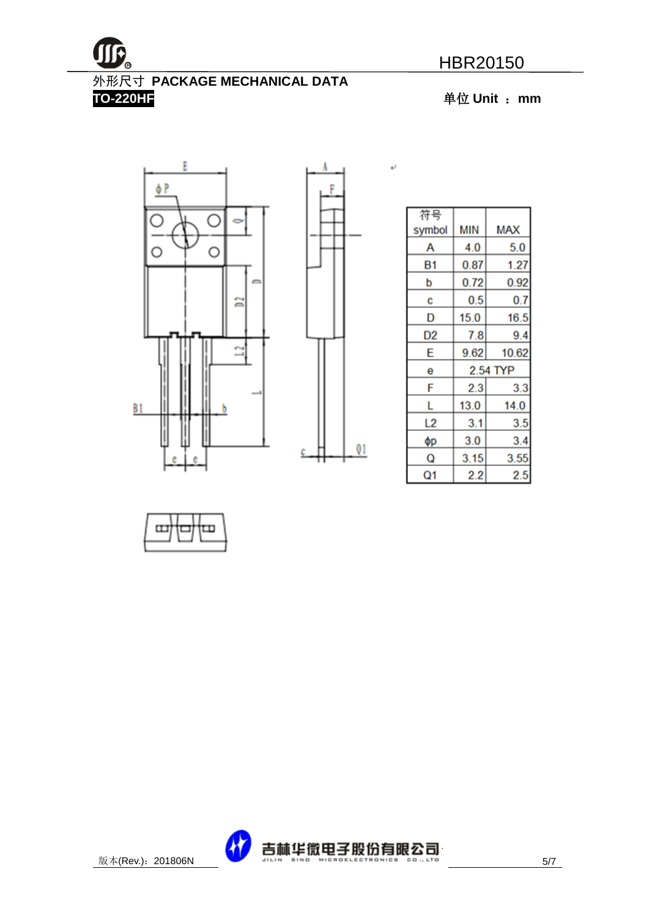

### 外形尺寸 **PACKAGE MECHANICAL DATA**

**TO-220HF** 单位 **Unit** :**mm**





۱

 $\leftarrow$ 

| 符号     |      |            |
|--------|------|------------|
| symbol | MIN  | <b>MAX</b> |
| Α      | 4.0  | 5.0        |
| Β1     | 0.87 | 1.27       |
| p      | 0.72 | 0.92       |
| C      | 0.5  | 0.7        |
| D      | 15.0 | 16.5       |
| D2     | 7.8  | 9.4        |
| E      | 9.62 | 10.62      |
| е      |      | 2.54 TYP   |
| F      | 2.3  | 3.3        |
| L      | 13.0 | 14.0       |
| L2     | 3.1  | 3.5        |
| фp     | 3.0  | 3.4        |
| Q      | 3.15 | 3.55       |
| Q1     | 2.2  | 2.5        |



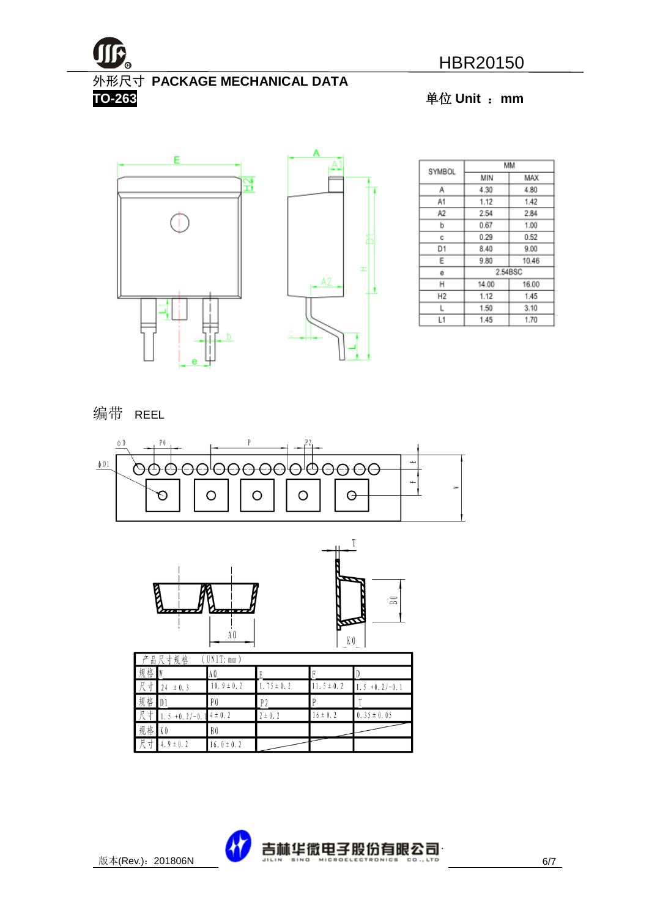

#### 外形尺寸 **PACKAGE MECHANICAL DATA**

**TO-263** 单位 **Unit** :**mm**



| SYMBOL         | мм           |         |  |  |
|----------------|--------------|---------|--|--|
|                | MIN          | MAX     |  |  |
| Α              | 4.30         | 4.80    |  |  |
| A1             | 1.12         | 1.42    |  |  |
| A2             | 2.54         | 2.84    |  |  |
| b              | 0.67         | 1.00    |  |  |
| с              | 0.29         | 0.52    |  |  |
| D1             | 8.40         | 9.00    |  |  |
| Ε              | 9.80         | 10.46   |  |  |
| е              |              | 2.54BSC |  |  |
| н              | 14.00        | 16.00   |  |  |
| H <sub>2</sub> | 1.12         | 1.45    |  |  |
| L              | 1.50         | 3.10    |  |  |
| L1             | 1.45<br>1.70 |         |  |  |

#### 编带 REEL





| Г<br>立  | 品尺寸规格           | UNIT: mm       |               |                |                  |
|---------|-----------------|----------------|---------------|----------------|------------------|
| 规<br>格  |                 | IA O           |               |                |                  |
| R<br>4  | ± 0.3<br>24     | $10.9 \pm 0.2$ | $.75 \pm 0.2$ | $11.5 \pm 0.2$ | $1.5 + 0.2/-0.1$ |
| 规格      | $\blacksquare$  | P <sub>0</sub> | P 2           |                |                  |
| 一尺<br>⊀ | $+0.2/-0.$<br>5 | $14 \pm 0.2$   | $\pm$ 0.2     | $6 \pm 0.2$    | $0.35 \pm 0.05$  |
| 规格      | K <sub>0</sub>  | B <sub>0</sub> |               |                |                  |
| 尺<br>↽  | $4.9 \pm 0.2$   | $16.0 \pm 0.2$ |               |                |                  |